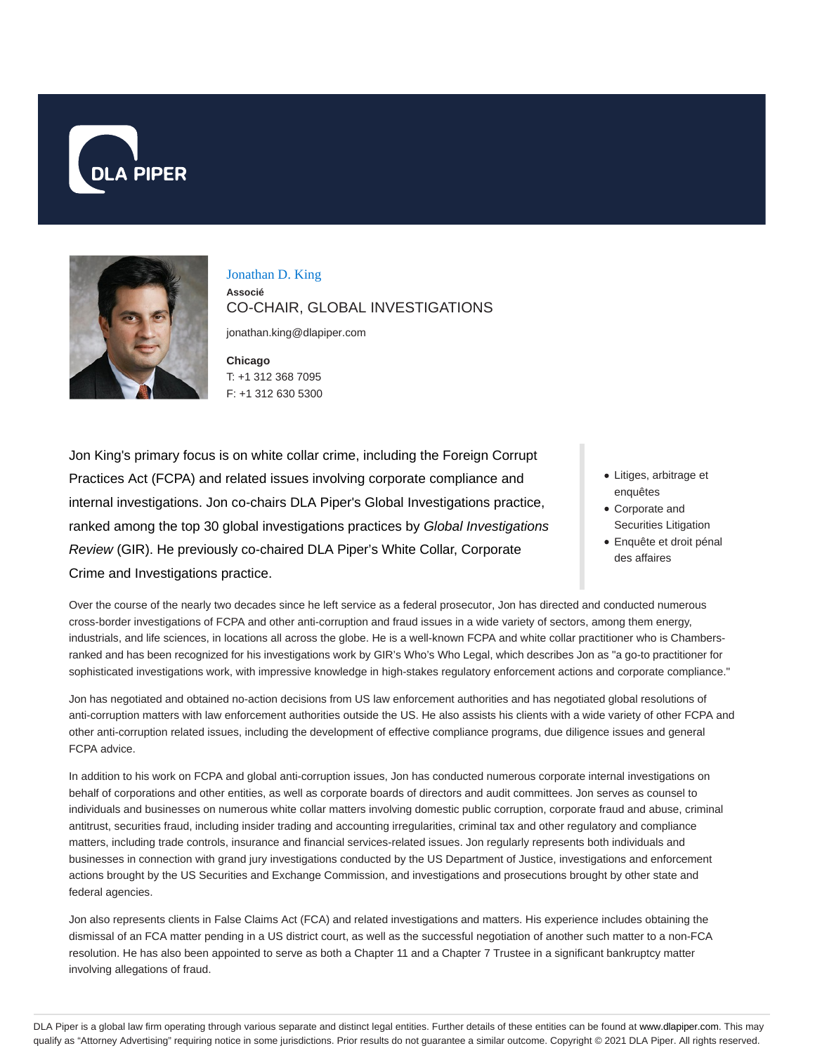



Jonathan D. King **Associé** CO-CHAIR, GLOBAL INVESTIGATIONS

jonathan.king@dlapiper.com

**Chicago** T: +1 312 368 7095 F: +1 312 630 5300

Jon King's primary focus is on white collar crime, including the Foreign Corrupt Practices Act (FCPA) and related issues involving corporate compliance and internal investigations. Jon co-chairs DLA Piper's Global Investigations practice, ranked among the top 30 global investigations practices by Global Investigations Review (GIR). He previously co-chaired DLA Piper's White Collar, Corporate Crime and Investigations practice.

- Litiges, arbitrage et enquêtes
- Corporate and Securities Litigation
- Enquête et droit pénal des affaires

Over the course of the nearly two decades since he left service as a federal prosecutor, Jon has directed and conducted numerous cross-border investigations of FCPA and other anti-corruption and fraud issues in a wide variety of sectors, among them energy, industrials, and life sciences, in locations all across the globe. He is a well-known FCPA and white collar practitioner who is Chambersranked and has been recognized for his investigations work by GIR's Who's Who Legal, which describes Jon as "a go-to practitioner for sophisticated investigations work, with impressive knowledge in high-stakes regulatory enforcement actions and corporate compliance."

Jon has negotiated and obtained no-action decisions from US law enforcement authorities and has negotiated global resolutions of anti-corruption matters with law enforcement authorities outside the US. He also assists his clients with a wide variety of other FCPA and other anti-corruption related issues, including the development of effective compliance programs, due diligence issues and general FCPA advice.

In addition to his work on FCPA and global anti-corruption issues, Jon has conducted numerous corporate internal investigations on behalf of corporations and other entities, as well as corporate boards of directors and audit committees. Jon serves as counsel to individuals and businesses on numerous white collar matters involving domestic public corruption, corporate fraud and abuse, criminal antitrust, securities fraud, including insider trading and accounting irregularities, criminal tax and other regulatory and compliance matters, including trade controls, insurance and financial services-related issues. Jon regularly represents both individuals and businesses in connection with grand jury investigations conducted by the US Department of Justice, investigations and enforcement actions brought by the US Securities and Exchange Commission, and investigations and prosecutions brought by other state and federal agencies.

Jon also represents clients in False Claims Act (FCA) and related investigations and matters. His experience includes obtaining the dismissal of an FCA matter pending in a US district court, as well as the successful negotiation of another such matter to a non-FCA resolution. He has also been appointed to serve as both a Chapter 11 and a Chapter 7 Trustee in a significant bankruptcy matter involving allegations of fraud.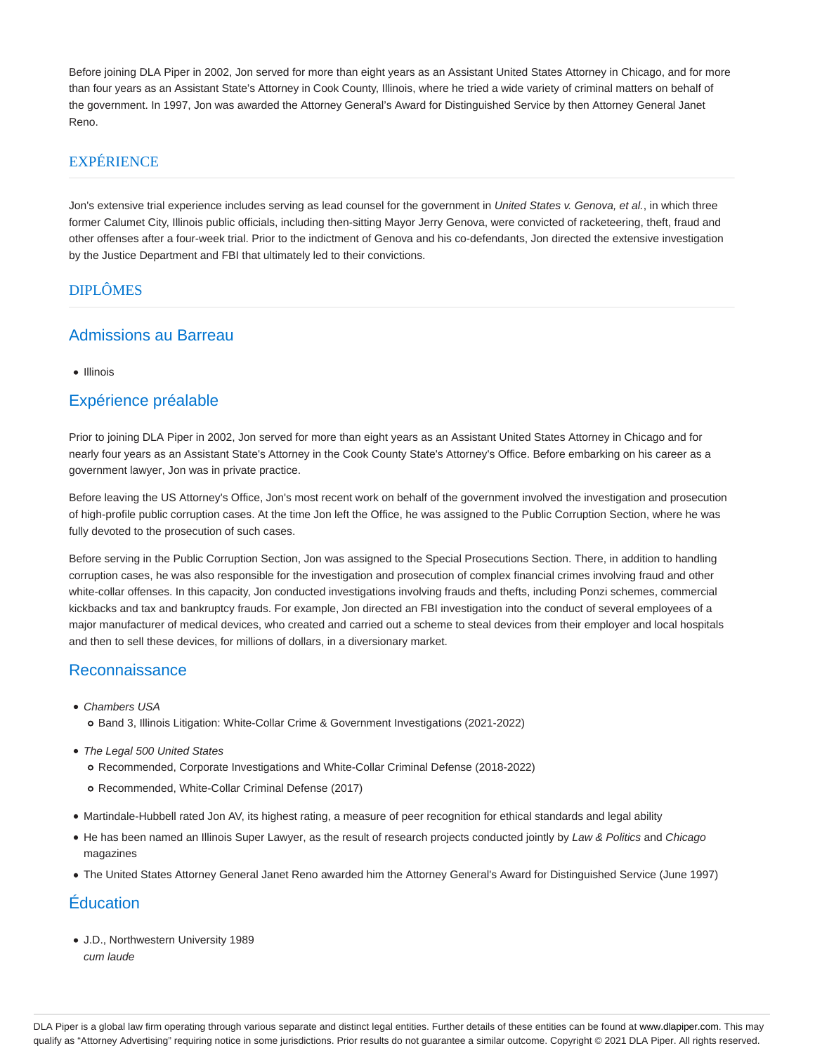Before joining DLA Piper in 2002, Jon served for more than eight years as an Assistant United States Attorney in Chicago, and for more than four years as an Assistant State's Attorney in Cook County, Illinois, where he tried a wide variety of criminal matters on behalf of the government. In 1997, Jon was awarded the Attorney General's Award for Distinguished Service by then Attorney General Janet Reno.

### EXPÉRIENCE

Jon's extensive trial experience includes serving as lead counsel for the government in United States v. Genova, et al., in which three former Calumet City, Illinois public officials, including then-sitting Mayor Jerry Genova, were convicted of racketeering, theft, fraud and other offenses after a four-week trial. Prior to the indictment of Genova and his co-defendants, Jon directed the extensive investigation by the Justice Department and FBI that ultimately led to their convictions.

### DIPLÔMES

#### Admissions au Barreau

• Illinois

#### Expérience préalable

Prior to joining DLA Piper in 2002, Jon served for more than eight years as an Assistant United States Attorney in Chicago and for nearly four years as an Assistant State's Attorney in the Cook County State's Attorney's Office. Before embarking on his career as a government lawyer, Jon was in private practice.

Before leaving the US Attorney's Office, Jon's most recent work on behalf of the government involved the investigation and prosecution of high-profile public corruption cases. At the time Jon left the Office, he was assigned to the Public Corruption Section, where he was fully devoted to the prosecution of such cases.

Before serving in the Public Corruption Section, Jon was assigned to the Special Prosecutions Section. There, in addition to handling corruption cases, he was also responsible for the investigation and prosecution of complex financial crimes involving fraud and other white-collar offenses. In this capacity, Jon conducted investigations involving frauds and thefts, including Ponzi schemes, commercial kickbacks and tax and bankruptcy frauds. For example, Jon directed an FBI investigation into the conduct of several employees of a major manufacturer of medical devices, who created and carried out a scheme to steal devices from their employer and local hospitals and then to sell these devices, for millions of dollars, in a diversionary market.

#### Reconnaissance

- Chambers USA
	- o Band 3, Illinois Litigation: White-Collar Crime & Government Investigations (2021-2022)
- The Legal 500 United States
	- Recommended, Corporate Investigations and White-Collar Criminal Defense (2018-2022)
	- o Recommended, White-Collar Criminal Defense (2017)
- Martindale-Hubbell rated Jon AV, its highest rating, a measure of peer recognition for ethical standards and legal ability
- He has been named an Illinois Super Lawyer, as the result of research projects conducted jointly by Law & Politics and Chicago magazines
- The United States Attorney General Janet Reno awarded him the Attorney General's Award for Distinguished Service (June 1997)

## Éducation

J.D., Northwestern University 1989 cum laude